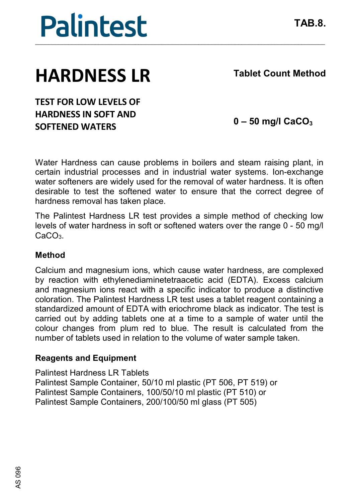

## **HARDNESS LR**

**Tablet Count Method**

**TEST FOR LOW LEVELS OF HARDNESS IN SOFT AND SOFTENED WATERS**

**0 – 50 mg/l CaCO3**

Water Hardness can cause problems in boilers and steam raising plant, in certain industrial processes and in industrial water systems. Ion-exchange water softeners are widely used for the removal of water hardness. It is often desirable to test the softened water to ensure that the correct degree of hardness removal has taken place.

The Palintest Hardness LR test provides a simple method of checking low levels of water hardness in soft or softened waters over the range 0 - 50 mg/l  $C_2C_2$ 

### **Method**

Calcium and magnesium ions, which cause water hardness, are complexed by reaction with ethylenediaminetetraacetic acid (EDTA). Excess calcium and magnesium ions react with a specific indicator to produce a distinctive coloration. The Palintest Hardness LR test uses a tablet reagent containing a standardized amount of EDTA with eriochrome black as indicator. The test is carried out by adding tablets one at a time to a sample of water until the colour changes from plum red to blue. The result is calculated from the number of tablets used in relation to the volume of water sample taken.

### **Reagents and Equipment**

Palintest Hardness LR Tablets Palintest Sample Container, 50/10 ml plastic (PT 506, PT 519) or Palintest Sample Containers, 100/50/10 ml plastic (PT 510) or Palintest Sample Containers, 200/100/50 ml glass (PT 505)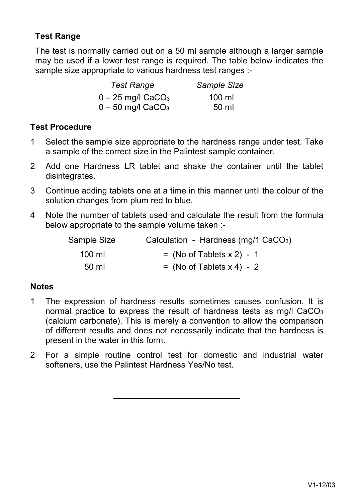### **Test Range**

The test is normally carried out on a 50 ml sample although a larger sample may be used if a lower test range is required. The table below indicates the sample size appropriate to various hardness test ranges :-

| <b>Test Range</b>               | Sample Size      |
|---------------------------------|------------------|
| $0 - 25$ mg/l CaCO <sub>3</sub> | $100 \mathrm{m}$ |
| $0 - 50$ mg/l CaCO <sub>3</sub> | 50 ml            |

### **Test Procedure**

- 1 Select the sample size appropriate to the hardness range under test. Take a sample of the correct size in the Palintest sample container.
- 2 Add one Hardness LR tablet and shake the container until the tablet disintegrates.
- 3 Continue adding tablets one at a time in this manner until the colour of the solution changes from plum red to blue.
- 4 Note the number of tablets used and calculate the result from the formula below appropriate to the sample volume taken :-

| Sample Size | Calculation - Hardness (mg/1 CaCO <sub>3</sub> ) |
|-------------|--------------------------------------------------|
| 100 ml      | $=$ (No of Tablets x 2) - 1                      |
| 50 ml       | $=$ (No of Tablets x 4) - 2                      |

### **Notes**

- 1 The expression of hardness results sometimes causes confusion. It is normal practice to express the result of hardness tests as mg/l  $CaCO<sub>3</sub>$ (calcium carbonate). This is merely a convention to allow the comparison of different results and does not necessarily indicate that the hardness is present in the water in this form.
- 2 For a simple routine control test for domestic and industrial water softeners, use the Palintest Hardness Yes/No test.

\_\_\_\_\_\_\_\_\_\_\_\_\_\_\_\_\_\_\_\_\_\_\_\_\_\_\_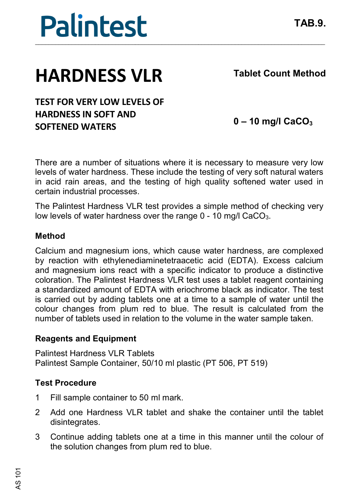



# **HARDNESS VLR**

**Tablet Count Method**

### **TEST FOR VERY LOW LEVELS OF HARDNESS IN SOFT AND SOFTENED WATERS**

**0 – 10 mg/l CaCO3**

There are a number of situations where it is necessary to measure very low levels of water hardness. These include the testing of very soft natural waters in acid rain areas, and the testing of high quality softened water used in certain industrial processes.

The Palintest Hardness VLR test provides a simple method of checking very low levels of water hardness over the range  $0 - 10$  mg/l CaCO<sub>3</sub>.

### **Method**

Calcium and magnesium ions, which cause water hardness, are complexed by reaction with ethylenediaminetetraacetic acid (EDTA). Excess calcium and magnesium ions react with a specific indicator to produce a distinctive coloration. The Palintest Hardness VLR test uses a tablet reagent containing a standardized amount of EDTA with eriochrome black as indicator. The test is carried out by adding tablets one at a time to a sample of water until the colour changes from plum red to blue. The result is calculated from the number of tablets used in relation to the volume in the water sample taken.

### **Reagents and Equipment**

Palintest Hardness VLR Tablets Palintest Sample Container, 50/10 ml plastic (PT 506, PT 519)

### **Test Procedure**

- 1 Fill sample container to 50 ml mark.
- 2 Add one Hardness VLR tablet and shake the container until the tablet disintegrates.
- 3 Continue adding tablets one at a time in this manner until the colour of the solution changes from plum red to blue.